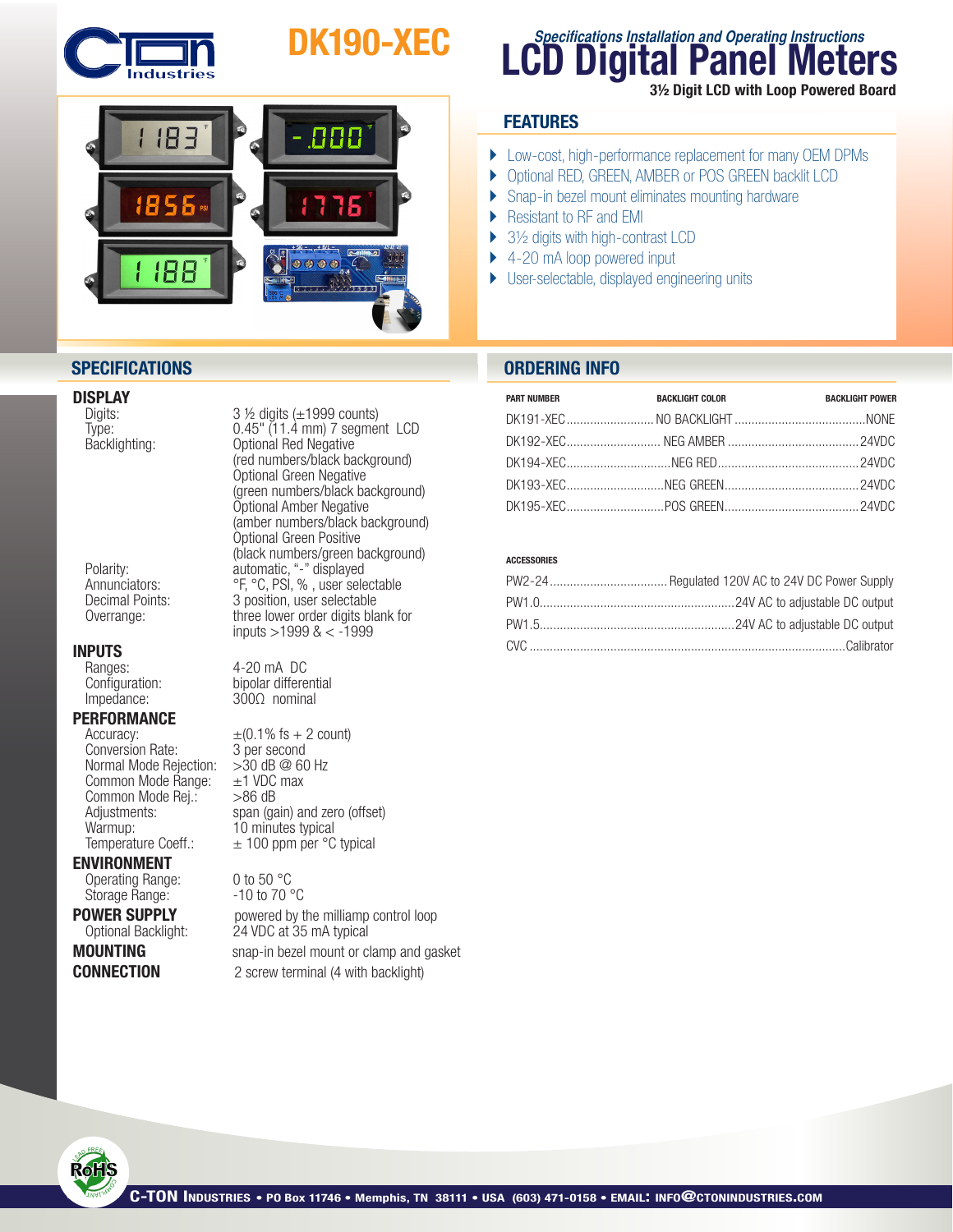

# DK190-XEC



# **DISPLAY**<br>Digits:

# **INPUTS**<br>Ranges:

Ranges: 4-20 mA DC<br>Configuration: bipolar differe

# **PERFORMANCE**<br>Accuracy:

Conversion Rate: 3 per second<br>Normal Mode Rejection: > 30 dB @ 60 Hz Normal Mode Rejection:  $>30$  dB @ 60<br>Common Mode Range:  $\pm 1$  VDC max Common Mode Range:  $\pm$ 1 VDC<br>Common Mode Rei.:  $>$ 86 dB Common Mode Rej.:<br>Adjustments:

## ENVIRONMENT

Operating Range: 0 to 50 °C<br>Storage Range: - 10 to 70 °C Storage Range:

Digits: 3 ½ digits (±1999 counts)<br>Type: 0.45" (11.4 mm) 7 segmer Type: 0.45" (11.4 mm) 7 segment LCD<br>Backlighting: 0ptional Red Negative Optional Red Negative (red numbers/black background) Optional Green Negative (green numbers/black background) Optional Amber Negative (amber numbers/black background) Optional Green Positive (black numbers/green background)<br>Polarity: example automatic, "-" displayed Polarity: automatic, "-" displayed<br>Annunciators: The Second CF, PC, PSI, %, user sele Annunciators: <sup>org</sup>, <sup>org</sup>, PSI, %, user selectable<br>
Decimal Points: 3 position, user selectable Decimal Points: 3 position, user selectable<br>Overrange: by three lower order digits bla three lower order digits blank for inputs >1999 & < -1999

 $Configuration:$  bipolar differential Impedance:  $300\Omega$  nominal Impedance: 300Ω nominal

 $\pm$ (0.1% fs + 2 count) Adjustments: Span (gain) and zero (offset)<br>
Warmup: 10 minutes typical 10 minutes typical Temperature Coeff.:  $\pm 100$  ppm per °C typical

**POWER SUPPLY** powered by the milliamp control loop<br>Optional Backlight: 24 VDC at 35 mA typical 24 VDC at 35 mA typical **MOUNTING** snap-in bezel mount or clamp and gasket **CONNECTION** 2 screw terminal (4 with backlight)

# **LCD Digital Panel Meters Specifications Installation and Operating Instructions** 3½ Digit LCD with Loop Powered Board

## **FEATURES**

- } Low-cost, high-performance replacement for many OEM DPMs
- } Optional RED, GREEN, AMBER or POS GREEN backlit LCD
- ▶ Snap-in bezel mount eliminates mounting hardware
- ▶ Resistant to RF and EMI
- ▶ 3½ digits with high-contrast LCD
- ▶ 4-20 mA loop powered input
- } User-selectable, displayed engineering units

## **SPECIFICATIONS ORDERING INFO**

| <b>PART NUMBER</b> | <b>BACKLIGHT COLOR</b> | <b>BACKLIGHT POWER</b> |
|--------------------|------------------------|------------------------|
|                    |                        |                        |
|                    |                        |                        |
|                    |                        |                        |
|                    |                        |                        |
|                    |                        |                        |

### ACCESSORIES